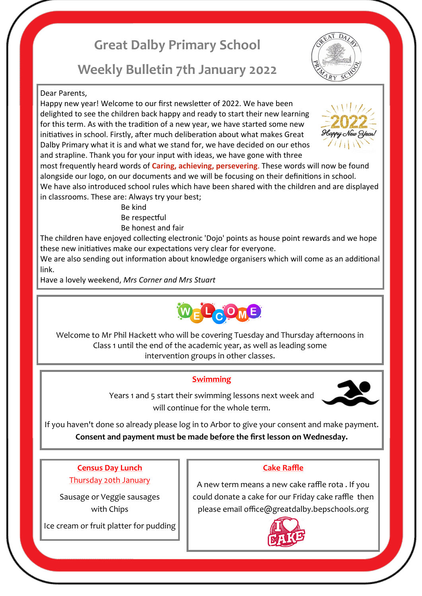# **Great Dalby Primary School**

## **Weekly Bulletin 7th January 2022**

#### Dear Parents,

Happy new year! Welcome to our first newsletter of 2022. We have been delighted to see the children back happy and ready to start their new learning for this term. As with the tradition of a new year, we have started some new initiatives in school. Firstly, after much deliberation about what makes Great Dalby Primary what it is and what we stand for, we have decided on our ethos and strapline. Thank you for your input with ideas, we have gone with three

most frequently heard words of **Caring, achieving, persevering**. These words will now be found alongside our logo, on our documents and we will be focusing on their definitions in school. We have also introduced school rules which have been shared with the children and are displayed in classrooms. These are: Always try your best;

Be kind Be respectful Be honest and fair

The children have enjoyed collecting electronic 'Dojo' points as house point rewards and we hope these new initiatives make our expectations very clear for everyone.

We are also sending out information about knowledge organisers which will come as an additional link.

Have a lovely weekend, *Mrs Corner and Mrs Stuart*



Welcome to Mr Phil Hackett who will be covering Tuesday and Thursday afternoons in Class 1 until the end of the academic year, as well as leading some intervention groups in other classes.

### **Swimming**



Years 1 and 5 start their swimming lessons next week and will continue for the whole term.

If you haven't done so already please log in to Arbor to give your consent and make payment. **Consent and payment must be made before the first lesson on Wednesday.** 

**Census Day Lunch**  Thursday 20th January

Sausage or Veggie sausages with Chips

Ice cream or fruit platter for pudding

### **Cake Raffle**

A new term means a new cake raffle rota . If you could donate a cake for our Friday cake raffle then please email office@greatdalby.bepschools.org





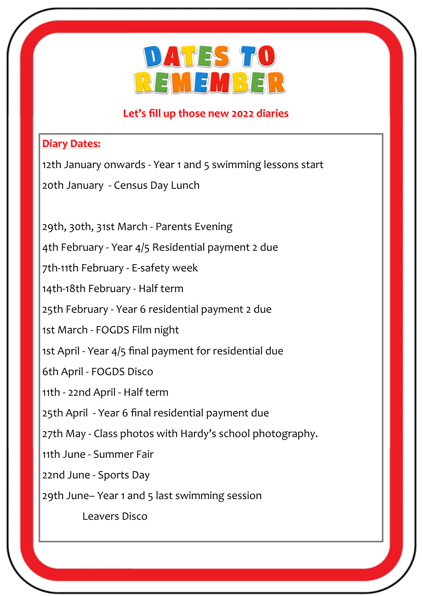

### **Let's fill up those new 2022 diaries**

### **Diary Dates:**

12th January onwards - Year 1 and 5 swimming lessons start

20th January - Census Day Lunch

29th, 30th, 31st March - Parents Evening

4th February - Year 4/5 Residential payment 2 due

7th-11th February - E-safety week

14th-18th February - Half term

25th February - Year 6 residential payment 2 due

1st March - FOGDS Film night

1st April - Year 4/5 final payment for residential due

6th April - FOGDS Disco

11th - 22nd April - Half term

25th April - Year 6 final residential payment due

27th May - Class photos with Hardy's school photography.

11th June - Summer Fair

22nd June - Sports Day

29th June– Year 1 and 5 last swimming session

Leavers Disco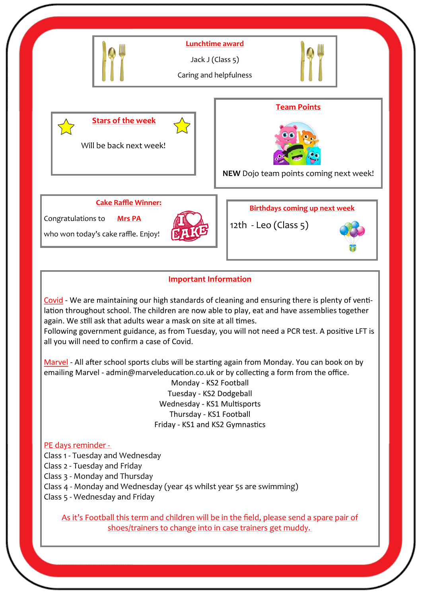

### **Important Information**

Covid - We are maintaining our high standards of cleaning and ensuring there is plenty of ventilation throughout school. The children are now able to play, eat and have assemblies together again. We still ask that adults wear a mask on site at all times.

Following government guidance, as from Tuesday, you will not need a PCR test. A positive LFT is all you will need to confirm a case of Covid.

Marvel - All after school sports clubs will be starting again from Monday. You can book on by emailing Marvel - admin@marveleducation.co.uk or by collecting a form from the office.

> Monday - KS2 Football Tuesday - KS2 Dodgeball Wednesday - KS1 Multisports Thursday - KS1 Football Friday - KS1 and KS2 Gymnastics

#### PE days reminder -

Class 1 - Tuesday and Wednesday

Class 2 - Tuesday and Friday

Class 3 - Monday and Thursday

Class 4 - Monday and Wednesday (year 4s whilst year 5s are swimming)

Class 5 - Wednesday and Friday

As it's Football this term and children will be in the field, please send a spare pair of shoes/trainers to change into in case trainers get muddy.